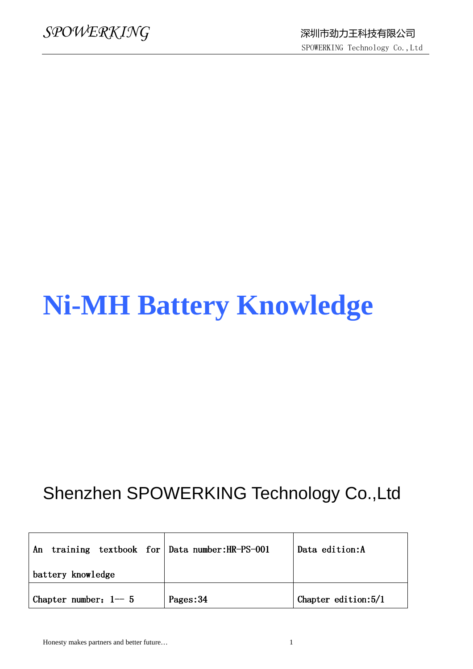# **Ni-MH Battery Knowledge**

## Shenzhen SPOWERKING Technology Co.,Ltd

| training textbook for Data number: HR-PS-001<br>An |           | Data edition: A        |
|----------------------------------------------------|-----------|------------------------|
| battery knowledge                                  |           |                        |
| Chapter number: $1 - 5$                            | Pages: 34 | Chapter edition: $5/1$ |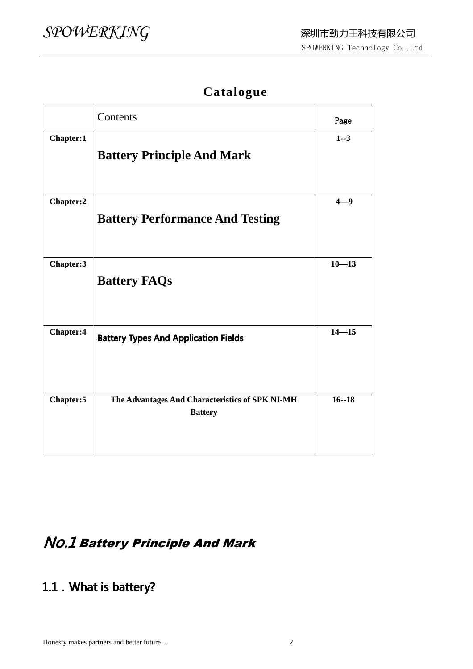#### **Catalogue**

|           | Contents                                                          | Page      |
|-----------|-------------------------------------------------------------------|-----------|
| Chapter:1 | <b>Battery Principle And Mark</b>                                 | $1 - 3$   |
| Chapter:2 | <b>Battery Performance And Testing</b>                            | $4 - 9$   |
| Chapter:3 | <b>Battery FAQs</b>                                               | $10 - 13$ |
| Chapter:4 | <b>Battery Types And Application Fields</b>                       | $14 - 15$ |
| Chapter:5 | The Advantages And Characteristics of SPK NI-MH<br><b>Battery</b> | $16 - 18$ |

### No.1 Battery Principle And Mark

#### 1.1. What is battery?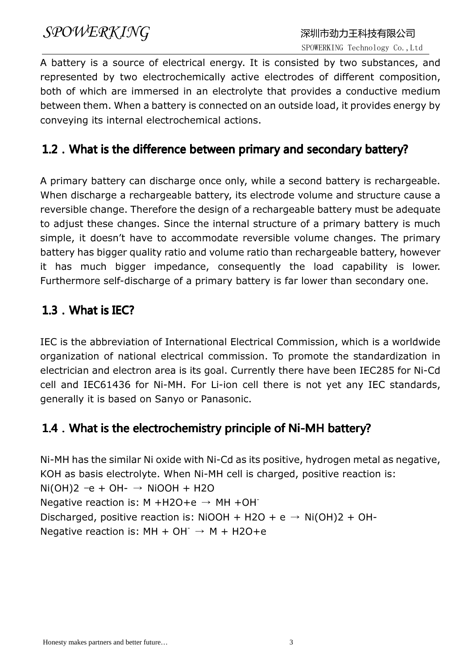A battery is a source of electrical energy. It is consisted by two substances, and represented by two electrochemically active electrodes of different composition, both of which are immersed in an electrolyte that provides a conductive medium between them. When a battery is connected on an outside load, it provides energy by conveying its internal electrochemical actions.

#### 1.2. What is the difference between primary and secondary battery?

A primary battery can discharge once only, while a second battery is rechargeable. When discharge a rechargeable battery, its electrode volume and structure cause a reversible change. Therefore the design of a rechargeable battery must be adequate to adjust these changes. Since the internal structure of a primary battery is much simple, it doesn't have to accommodate reversible volume changes. The primary battery has bigger quality ratio and volume ratio than rechargeable battery, however it has much bigger impedance, consequently the load capability is lower. Furthermore self-discharge of a primary battery is far lower than secondary one.

#### 1.3. What is IEC?

IEC is the abbreviation of International Electrical Commission, which is a worldwide organization of national electrical commission. To promote the standardization in electrician and electron area is its goal. Currently there have been IEC285 for Ni-Cd cell and IEC61436 for Ni-MH. For Li-ion cell there is not yet any IEC standards, generally it is based on Sanyo or Panasonic.

#### 1.4. What is the electrochemistry principle of Ni-MH battery?

Ni-MH has the similar Ni oxide with Ni-Cd as its positive, hydrogen metal as negative, KOH as basis electrolyte. When Ni-MH cell is charged, positive reaction is:  $Ni(OH)2 -e + OH- \rightarrow NiOOH + H2O$ Negative reaction is: M +H2O+e  $\rightarrow$  MH +OH<sup>-</sup> Discharged, positive reaction is: NiOOH + H2O + e  $\rightarrow$  Ni(OH)2 + OH-Negative reaction is:  $MH + OH^- \rightarrow M + H2O+e$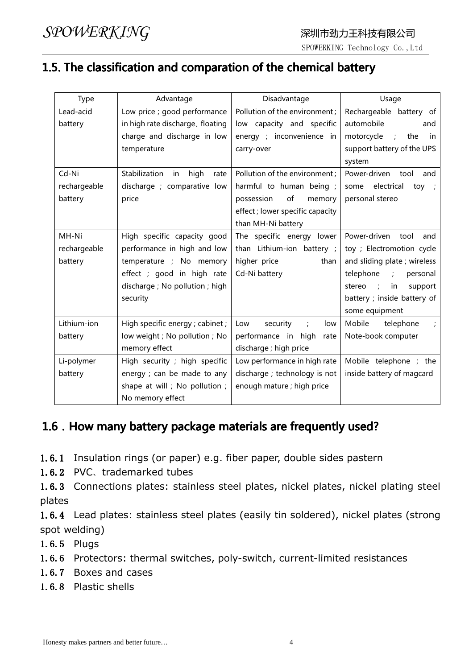#### 1.5. The classification and comparation of the chemical battery

| Type         | Advantage                           | Disadvantage                         | Usage                                      |
|--------------|-------------------------------------|--------------------------------------|--------------------------------------------|
| Lead-acid    | Low price ; good performance        | Pollution of the environment;        | Rechargeable battery of                    |
| battery      | in high rate discharge, floating    | low capacity and specific            | automobile<br>and                          |
|              | charge and discharge in low         | energy ; inconvenience in            | motorcycle<br>$\ddot{r}$<br>the<br>in      |
|              | temperature                         | carry-over                           | support battery of the UPS                 |
|              |                                     |                                      | system                                     |
| Cd-Ni        | Stabilization<br>high<br>in<br>rate | Pollution of the environment ;       | Power-driven<br>tool<br>and                |
| rechargeable | discharge ; comparative low         | harmful to human being;              | electrical<br>some<br>toy<br>$\ddot{ }$    |
| battery      | price                               | of<br>possession<br>memory           | personal stereo                            |
|              |                                     | effect; lower specific capacity      |                                            |
|              |                                     | than MH-Ni battery                   |                                            |
| MH-Ni        | High specific capacity good         | The specific energy lower            | Power-driven<br>tool<br>and                |
| rechargeable | performance in high and low         | than Lithium-ion battery ;           | toy ; Electromotion cycle                  |
| battery      | temperature ; No memory             | higher price<br>than                 | and sliding plate; wireless                |
|              | effect ; good in high rate          | Cd-Ni battery                        | telephone<br>$\mathbb{R}^2$<br>personal    |
|              | discharge ; No pollution ; high     |                                      | stereo<br>$\rightarrow$ :<br>in<br>support |
|              | security                            |                                      | battery ; inside battery of                |
|              |                                     |                                      | some equipment                             |
| Lithium-ion  | High specific energy ; cabinet ;    | Low<br>security<br>$\ddot{i}$<br>low | Mobile<br>telephone                        |
| battery      | low weight; No pollution; No        | performance in high<br>rate          | Note-book computer                         |
|              | memory effect                       | discharge ; high price               |                                            |
| Li-polymer   | High security ; high specific       | Low performance in high rate         | Mobile telephone ; the                     |
| battery      | energy ; can be made to any         | discharge ; technology is not        | inside battery of magcard                  |
|              | shape at will; No pollution;        | enough mature ; high price           |                                            |
|              | No memory effect                    |                                      |                                            |

#### 1.6. How many battery package materials are frequently used?

1.6.1 Insulation rings (or paper) e.g. fiber paper, double sides pastern

1.6.2 PVC、trademarked tubes

1.6.3 Connections plates: stainless steel plates, nickel plates, nickel plating steel plates

1.6.4 Lead plates: stainless steel plates (easily tin soldered), nickel plates (strong spot welding)

1.6.5 Plugs

1.6.6 Protectors: thermal switches, poly-switch, current-limited resistances

- 1.6.7 Boxes and cases
- 1.6.8 Plastic shells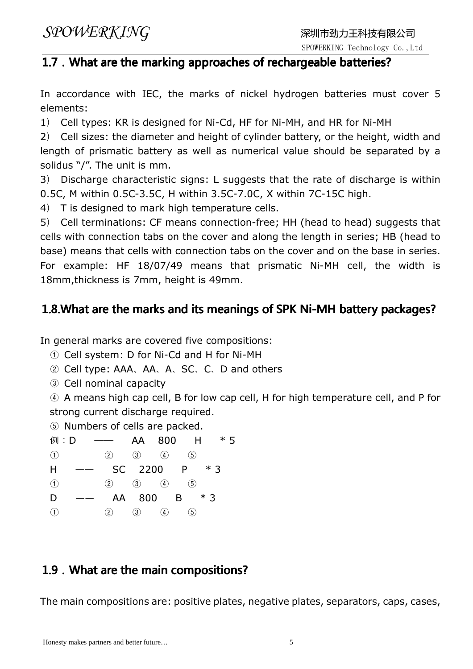SPOWERKING Technology Co.,Ltd

### 1.7. What are the marking approaches of rechargeable batteries?

In accordance with IEC, the marks of nickel hydrogen batteries must cover 5 elements:

1) Cell types: KR is designed for Ni-Cd, HF for Ni-MH, and HR for Ni-MH

2) Cell sizes: the diameter and height of cylinder battery, or the height, width and length of prismatic battery as well as numerical value should be separated by a solidus "/". The unit is mm.

3) Discharge characteristic signs: L suggests that the rate of discharge is within 0.5C, M within 0.5C-3.5C, H within 3.5C-7.0C, X within 7C-15C high.

4) T is designed to mark high temperature cells.

5) Cell terminations: CF means connection-free; HH (head to head) suggests that cells with connection tabs on the cover and along the length in series; HB (head to base) means that cells with connection tabs on the cover and on the base in series. For example: HF 18/07/49 means that prismatic Ni-MH cell, the width is 18mm,thickness is 7mm, height is 49mm.

#### 1.8.What are the marks and its meanings of SPK Ni-MH battery packages?

In general marks are covered five compositions:

① Cell system: D for Ni-Cd and H for Ni-MH

- ② Cell type: AAA、AA、A、SC、C、D and others
- ③ Cell nominal capacity

④ A means high cap cell, B for low cap cell, H for high temperature cell, and P for strong current discharge required.

⑤ Numbers of cells are packed.

例: D -- AA 800 H \* 5 ① ② ③ ④ ⑤  $H$  -- SC 2200 P  $*3$ ① ② ③ ④ ⑤ D —— AA 800 B \* 3 ① ② ③ ④ ⑤

#### 1.9. What are the main compositions?

The main compositions are: positive plates, negative plates, separators, caps, cases,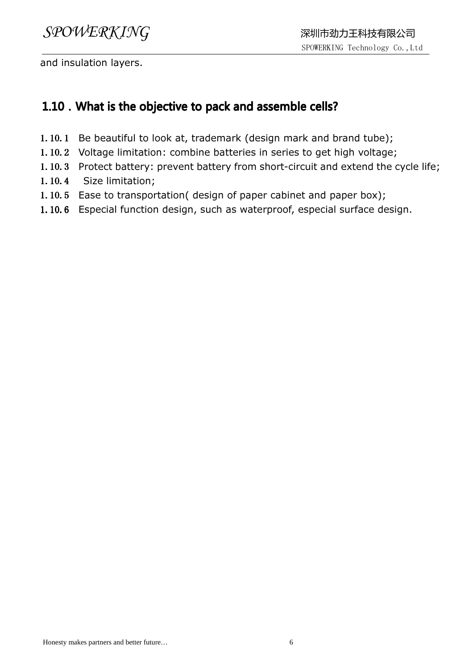and insulation layers.

#### 1.10. What is the objective to pack and assemble cells?

- 1.10.1 Be beautiful to look at, trademark (design mark and brand tube);
- 1.10.2 Voltage limitation: combine batteries in series to get high voltage;
- 1.10.3 Protect battery: prevent battery from short-circuit and extend the cycle life;
- 1.10.4 Size limitation;
- 1.10.5 Ease to transportation( design of paper cabinet and paper box);
- 1.10.6 Especial function design, such as waterproof, especial surface design.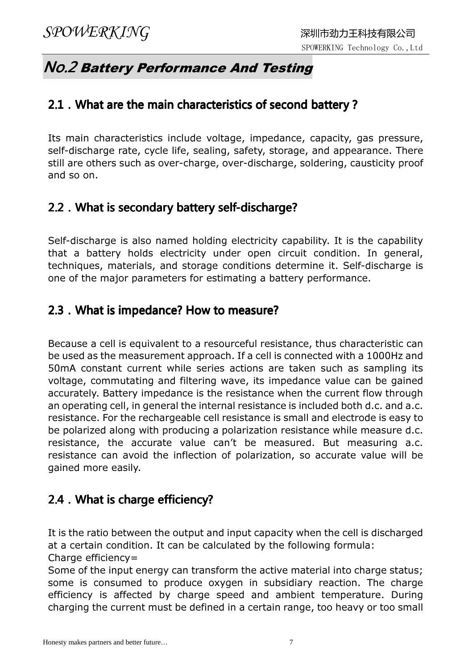#### No.2 Battery Performance And Testing

#### 2.1. What are the main characteristics of second battery?

Its main characteristics include voltage, impedance, capacity, gas pressure, self-discharge rate, cycle life, sealing, safety, storage, and appearance. There still are others such as over-charge, over-discharge, soldering, causticity proof and so on.

#### 2.2. What is secondary battery self-discharge?

Self-discharge is also named holding electricity capability. It is the capability that a battery holds electricity under open circuit condition. In general, techniques, materials, and storage conditions determine it. Self-discharge is one of the major parameters for estimating a battery performance.

#### 2.3. What is impedance? How to measure?

Because a cell is equivalent to a resourceful resistance, thus characteristic can be used as the measurement approach. If a cell is connected with a 1000Hz and 50mA constant current while series actions are taken such as sampling its voltage, commutating and filtering wave, its impedance value can be gained accurately. Battery impedance is the resistance when the current flow through an operating cell, in general the internal resistance is included both d.c. and a.c. resistance. For the rechargeable cell resistance is small and electrode is easy to be polarized along with producing a polarization resistance while measure d.c. resistance, the accurate value can't be measured. But measuring a.c. resistance can avoid the inflection of polarization, so accurate value will be gained more easily.

#### 2.4. What is charge efficiency?

It is the ratio between the output and input capacity when the cell is discharged at a certain condition. It can be calculated by the following formula: Charge efficiency=

Some of the input energy can transform the active material into charge status; some is consumed to produce oxygen in subsidiary reaction. The charge efficiency is affected by charge speed and ambient temperature. During charging the current must be defined in a certain range, too heavy or too small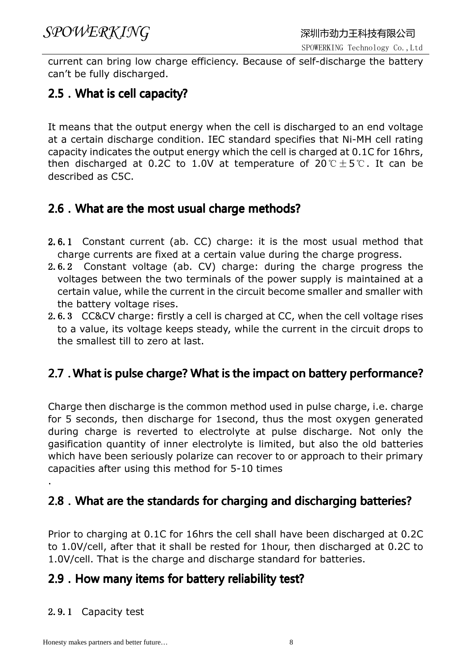current can bring low charge efficiency. Because of self-discharge the battery can't be fully discharged.

#### 2.5. What is cell capacity?

It means that the output energy when the cell is discharged to an end voltage at a certain discharge condition. IEC standard specifies that Ni-MH cell rating capacity indicates the output energy which the cell is charged at 0.1C for 16hrs, then discharged at 0.2C to 1.0V at temperature of  $20^{\circ}C \pm 5^{\circ}C$ . It can be described as C5C.

#### 2.6. What are the most usual charge methods?

- 2.6.1 Constant current (ab. CC) charge: it is the most usual method that charge currents are fixed at a certain value during the charge progress.
- 2.6.2 Constant voltage (ab. CV) charge: during the charge progress the voltages between the two terminals of the power supply is maintained at a certain value, while the current in the circuit become smaller and smaller with the battery voltage rises.
- 2.6.3 CC&CV charge: firstly a cell is charged at CC, when the cell voltage rises to a value, its voltage keeps steady, while the current in the circuit drops to the smallest till to zero at last.

#### 2.7.What is pulse charge? What is the impact on battery performance?

Charge then discharge is the common method used in pulse charge, i.e. charge for 5 seconds, then discharge for 1second, thus the most oxygen generated during charge is reverted to electrolyte at pulse discharge. Not only the gasification quantity of inner electrolyte is limited, but also the old batteries which have been seriously polarize can recover to or approach to their primary capacities after using this method for 5-10 times

#### 2.8. What are the standards for charging and discharging batteries?

Prior to charging at 0.1C for 16hrs the cell shall have been discharged at 0.2C to 1.0V/cell, after that it shall be rested for 1hour, then discharged at 0.2C to 1.0V/cell. That is the charge and discharge standard for batteries.

#### 2.9. How many items for battery reliability test?

#### 2.9.1 Capacity test

.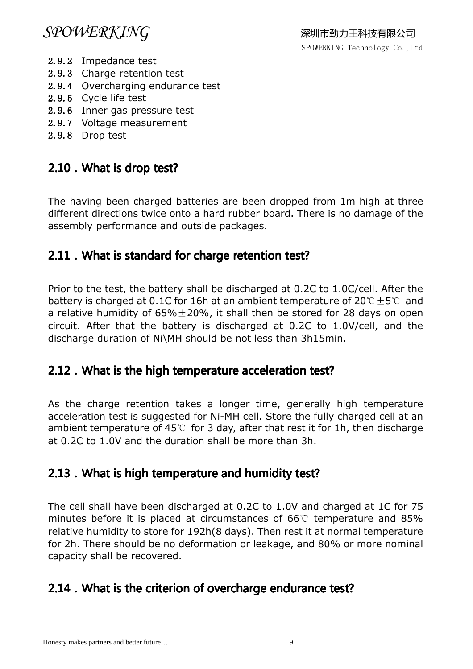- 2.9.2 Impedance test
- 2.9.3 Charge retention test
- 2.9.4 Overcharging endurance test
- 2.9.5 Cycle life test
- 2.9.6 Inner gas pressure test
- 2.9.7 Voltage measurement
- 2.9.8 Drop test

#### 2.10 . What is drop test?

The having been charged batteries are been dropped from 1m high at three different directions twice onto a hard rubber board. There is no damage of the assembly performance and outside packages.

#### 2.11. What is standard for charge retention test?

Prior to the test, the battery shall be discharged at 0.2C to 1.0C/cell. After the battery is charged at 0.1C for 16h at an ambient temperature of  $20^{\circ}C \pm 5^{\circ}C$  and a relative humidity of  $65\% \pm 20\%$ , it shall then be stored for 28 days on open circuit. After that the battery is discharged at 0.2C to 1.0V/cell, and the discharge duration of Ni\MH should be not less than 3h15min.

#### 2.12. What is the high temperature acceleration test?

As the charge retention takes a longer time, generally high temperature acceleration test is suggested for Ni-MH cell. Store the fully charged cell at an ambient temperature of 45℃ for 3 day, after that rest it for 1h, then discharge at 0.2C to 1.0V and the duration shall be more than 3h.

#### 2.13. What is high temperature and humidity test?

The cell shall have been discharged at 0.2C to 1.0V and charged at 1C for 75 minutes before it is placed at circumstances of 66℃ temperature and 85% relative humidity to store for 192h(8 days). Then rest it at normal temperature for 2h. There should be no deformation or leakage, and 80% or more nominal capacity shall be recovered.

#### 2.14. What is the criterion of overcharge endurance test?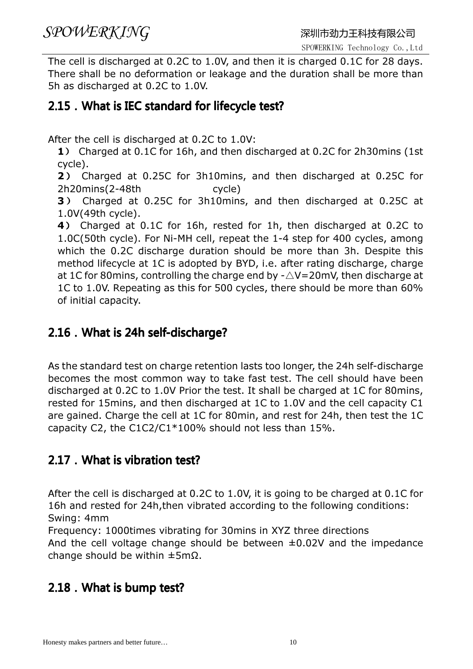The cell is discharged at 0.2C to 1.0V, and then it is charged 0.1C for 28 days. There shall be no deformation or leakage and the duration shall be more than 5h as discharged at 0.2C to 1.0V.

#### 2.15. What is IEC standard for lifecycle test?

After the cell is discharged at 0.2C to 1.0V:

1) Charged at 0.1C for 16h, and then discharged at 0.2C for 2h30mins (1st cycle).

2) Charged at 0.25C for 3h10mins, and then discharged at 0.25C for 2h20mins(2-48th cycle)

3) Charged at 0.25C for 3h10mins, and then discharged at 0.25C at 1.0V(49th cycle).

4) Charged at 0.1C for 16h, rested for 1h, then discharged at 0.2C to 1.0C(50th cycle). For Ni-MH cell, repeat the 1-4 step for 400 cycles, among which the 0.2C discharge duration should be more than 3h. Despite this method lifecycle at 1C is adopted by BYD, i.e. after rating discharge, charge at 1C for 80mins, controlling the charge end by  $-\triangle V=20$ mV, then discharge at 1C to 1.0V. Repeating as this for 500 cycles, there should be more than 60% of initial capacity.

#### 2.16. What is 24h self-discharge?

As the standard test on charge retention lasts too longer, the 24h self-discharge becomes the most common way to take fast test. The cell should have been discharged at 0.2C to 1.0V Prior the test. It shall be charged at 1C for 80mins, rested for 15mins, and then discharged at 1C to 1.0V and the cell capacity C1 are gained. Charge the cell at 1C for 80min, and rest for 24h, then test the 1C capacity C2, the C1C2/C1\*100% should not less than 15%.

#### 2.17. What is vibration test?

After the cell is discharged at 0.2C to 1.0V, it is going to be charged at 0.1C for 16h and rested for 24h,then vibrated according to the following conditions: Swing: 4mm

Frequency: 1000times vibrating for 30mins in XYZ three directions

And the cell voltage change should be between  $\pm 0.02V$  and the impedance change should be within ±5mΩ.

#### 2.18. What is bump test?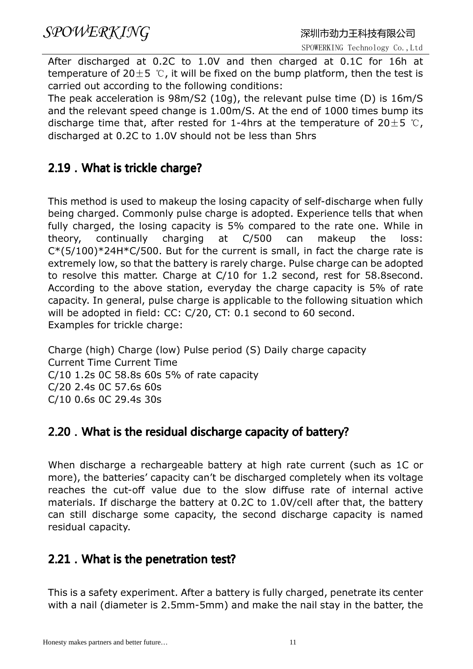After discharged at 0.2C to 1.0V and then charged at 0.1C for 16h at temperature of  $20±5$  ℃, it will be fixed on the bump platform, then the test is carried out according to the following conditions:

The peak acceleration is 98m/S2 (10g), the relevant pulse time (D) is 16m/S and the relevant speed change is 1.00m/S. At the end of 1000 times bump its discharge time that, after rested for 1-4hrs at the temperature of  $20\pm5$  ℃, discharged at 0.2C to 1.0V should not be less than 5hrs

#### 2.19. What is trickle charge?

This method is used to makeup the losing capacity of self-discharge when fully being charged. Commonly pulse charge is adopted. Experience tells that when fully charged, the losing capacity is 5% compared to the rate one. While in theory, continually charging at C/500 can makeup the loss:  $C*(5/100)*24H*C/500$ . But for the current is small, in fact the charge rate is extremely low, so that the battery is rarely charge. Pulse charge can be adopted to resolve this matter. Charge at C/10 for 1.2 second, rest for 58.8second. According to the above station, everyday the charge capacity is 5% of rate capacity. In general, pulse charge is applicable to the following situation which will be adopted in field: CC: C/20, CT: 0.1 second to 60 second. Examples for trickle charge:

Charge (high) Charge (low) Pulse period (S) Daily charge capacity Current Time Current Time C/10 1.2s 0C 58.8s 60s 5% of rate capacity C/20 2.4s 0C 57.6s 60s C/10 0.6s 0C 29.4s 30s

#### 2.20. What is the residual discharge capacity of battery?

When discharge a rechargeable battery at high rate current (such as 1C or more), the batteries' capacity can't be discharged completely when its voltage reaches the cut-off value due to the slow diffuse rate of internal active materials. If discharge the battery at 0.2C to 1.0V/cell after that, the battery can still discharge some capacity, the second discharge capacity is named residual capacity.

#### 2.21. What is the penetration test?

This is a safety experiment. After a battery is fully charged, penetrate its center with a nail (diameter is 2.5mm-5mm) and make the nail stay in the batter, the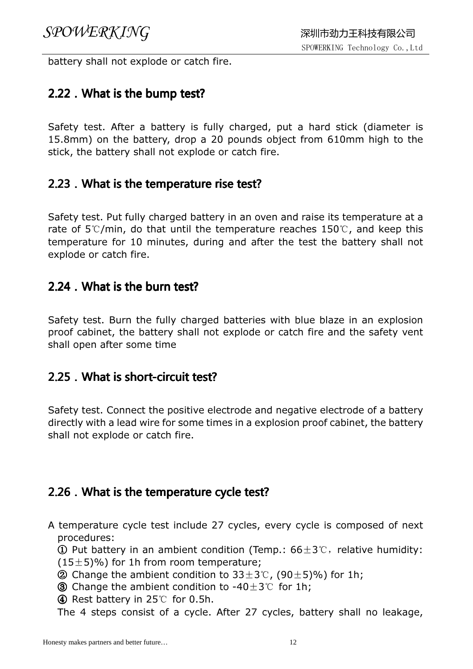battery shall not explode or catch fire.

#### 2.22. What is the bump test?

Safety test. After a battery is fully charged, put a hard stick (diameter is 15.8mm) on the battery, drop a 20 pounds object from 610mm high to the stick, the battery shall not explode or catch fire.

#### 2.23. What is the temperature rise test?

Safety test. Put fully charged battery in an oven and raise its temperature at a rate of 5℃/min, do that until the temperature reaches 150℃, and keep this temperature for 10 minutes, during and after the test the battery shall not explode or catch fire.

#### $2.24$  . What is the burn test?

Safety test. Burn the fully charged batteries with blue blaze in an explosion proof cabinet, the battery shall not explode or catch fire and the safety vent shall open after some time

#### 2.25. What is short-circuit test?

Safety test. Connect the positive electrode and negative electrode of a battery directly with a lead wire for some times in a explosion proof cabinet, the battery shall not explode or catch fire.

#### 2.26. What is the temperature cycle test?

A temperature cycle test include 27 cycles, every cycle is composed of next procedures:

① Put battery in an ambient condition (Temp.:  $66±3$ °C, relative humidity:  $(15\pm5)\%$ ) for 1h from room temperature;

- ② Change the ambient condition to  $33±3$ °C, (90±5)%) for 1h;
- ③ Change the ambient condition to -40±3℃ for 1h;

④ Rest battery in 25℃ for 0.5h.

The 4 steps consist of a cycle. After 27 cycles, battery shall no leakage,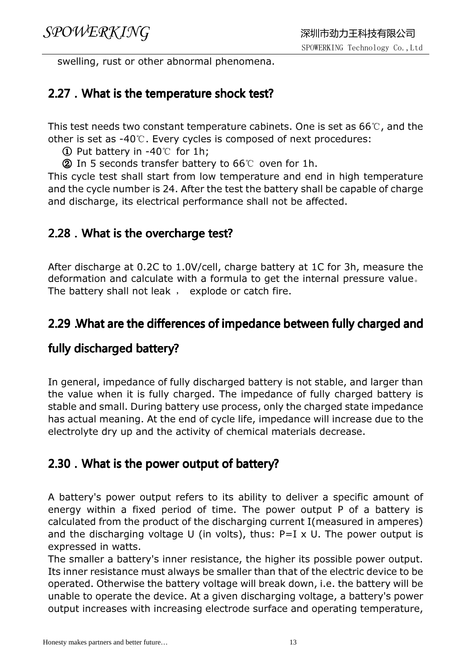swelling, rust or other abnormal phenomena.

#### 2.27. What is the temperature shock test?

This test needs two constant temperature cabinets. One is set as 66℃, and the other is set as -40℃. Every cycles is composed of next procedures:

① Put battery in -40℃ for 1h;

② In 5 seconds transfer battery to 66℃ oven for 1h.

This cycle test shall start from low temperature and end in high temperature and the cycle number is 24. After the test the battery shall be capable of charge and discharge, its electrical performance shall not be affected.

#### 2.28. What is the overcharge test?

After discharge at 0.2C to 1.0V/cell, charge battery at 1C for 3h, measure the deformation and calculate with a formula to get the internal pressure value。 The battery shall not leak, explode or catch fire.

#### 2.29.What are the differences of impedance between fully charged and

#### fully discharged battery?

In general, impedance of fully discharged battery is not stable, and larger than the value when it is fully charged. The impedance of fully charged battery is stable and small. During battery use process, only the charged state impedance has actual meaning. At the end of cycle life, impedance will increase due to the electrolyte dry up and the activity of chemical materials decrease.

#### 2.30. What is the power output of battery?

A battery's power output refers to its ability to deliver a specific amount of energy within a fixed period of time. The power output P of a battery is calculated from the product of the discharging current I(measured in amperes) and the discharging voltage U (in volts), thus:  $P=I \times U$ . The power output is expressed in watts.

The smaller a battery's inner resistance, the higher its possible power output. Its inner resistance must always be smaller than that of the electric device to be operated. Otherwise the battery voltage will break down, i.e. the battery will be unable to operate the device. At a given discharging voltage, a battery's power output increases with increasing electrode surface and operating temperature,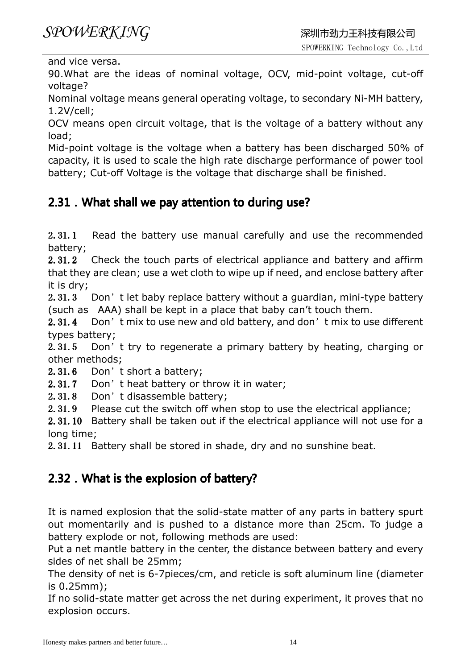and vice versa.

90.What are the ideas of nominal voltage, OCV, mid-point voltage, cut-off voltage?

Nominal voltage means general operating voltage, to secondary Ni-MH battery, 1.2V/cell;

OCV means open circuit voltage, that is the voltage of a battery without any load;

Mid-point voltage is the voltage when a battery has been discharged 50% of capacity, it is used to scale the high rate discharge performance of power tool battery; Cut-off Voltage is the voltage that discharge shall be finished.

#### 2.31. What shall we pay attention to during use?

2.31.1 Read the battery use manual carefully and use the recommended battery;

2.31.2 Check the touch parts of electrical appliance and battery and affirm that they are clean; use a wet cloth to wipe up if need, and enclose battery after it is dry;

2.31.3 Don't let baby replace battery without a guardian, mini-type battery (such as AAA) shall be kept in a place that baby can't touch them.

2.31.4 Don't mix to use new and old battery, and don't mix to use different types battery;

2.31.5 Don't try to regenerate a primary battery by heating, charging or other methods;

2.31.6 Don't short a battery;

2.31.7 Don't heat battery or throw it in water;

2.31.8 Don't disassemble battery;

2.31.9 Please cut the switch off when stop to use the electrical appliance;

2.31.10 Battery shall be taken out if the electrical appliance will not use for a long time;

2.31.11 Battery shall be stored in shade, dry and no sunshine beat.

#### 2.32. What is the explosion of battery?

It is named explosion that the solid-state matter of any parts in battery spurt out momentarily and is pushed to a distance more than 25cm. To judge a battery explode or not, following methods are used:

Put a net mantle battery in the center, the distance between battery and every sides of net shall be 25mm;

The density of net is 6-7pieces/cm, and reticle is soft aluminum line (diameter is 0.25mm);

If no solid-state matter get across the net during experiment, it proves that no explosion occurs.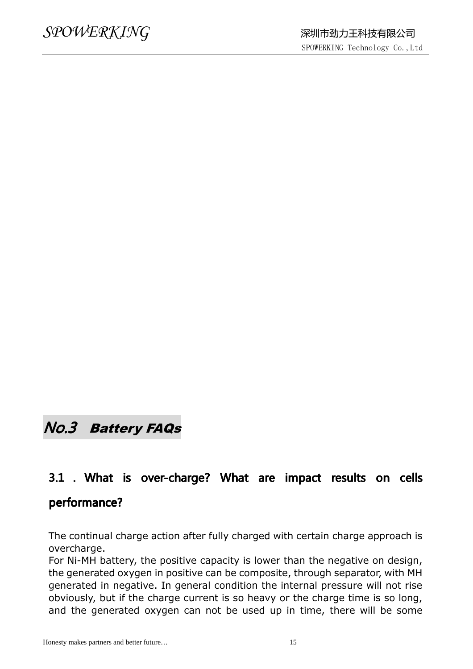### No.3 Battery FAQs

### 3.1 . What is over-charge? What are impact results on cells

#### performance?

The continual charge action after fully charged with certain charge approach is overcharge.

For Ni-MH battery, the positive capacity is lower than the negative on design, the generated oxygen in positive can be composite, through separator, with MH generated in negative. In general condition the internal pressure will not rise obviously, but if the charge current is so heavy or the charge time is so long, and the generated oxygen can not be used up in time, there will be some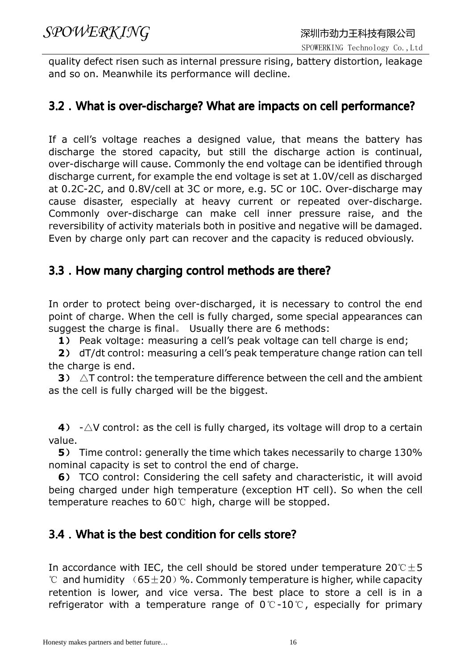quality defect risen such as internal pressure rising, battery distortion, leakage and so on. Meanwhile its performance will decline.

#### 3.2. What is over-discharge? What are impacts on cell performance?

If a cell's voltage reaches a designed value, that means the battery has discharge the stored capacity, but still the discharge action is continual, over-discharge will cause. Commonly the end voltage can be identified through discharge current, for example the end voltage is set at 1.0V/cell as discharged at 0.2C-2C, and 0.8V/cell at 3C or more, e.g. 5C or 10C. Over-discharge may cause disaster, especially at heavy current or repeated over-discharge. Commonly over-discharge can make cell inner pressure raise, and the reversibility of activity materials both in positive and negative will be damaged. Even by charge only part can recover and the capacity is reduced obviously.

#### 3.3. How many charging control methods are there?

In order to protect being over-discharged, it is necessary to control the end point of charge. When the cell is fully charged, some special appearances can suggest the charge is final。 Usually there are 6 methods:

1) Peak voltage: measuring a cell's peak voltage can tell charge is end;

2) dT/dt control: measuring a cell's peak temperature change ration can tell the charge is end.

**3**)  $\Delta T$  control: the temperature difference between the cell and the ambient as the cell is fully charged will be the biggest.

4)  $-\triangle V$  control: as the cell is fully charged, its voltage will drop to a certain value.

5) Time control: generally the time which takes necessarily to charge 130% nominal capacity is set to control the end of charge.

 6) TCO control: Considering the cell safety and characteristic, it will avoid being charged under high temperature (exception HT cell). So when the cell temperature reaches to 60℃ high, charge will be stopped.

#### 3.4. What is the best condition for cells store?

In accordance with IEC, the cell should be stored under temperature  $20^\circ \text{C} \pm 5$  $\degree$  and humidity  $(65\pm20)$  %. Commonly temperature is higher, while capacity retention is lower, and vice versa. The best place to store a cell is in a refrigerator with a temperature range of 0℃-10℃, especially for primary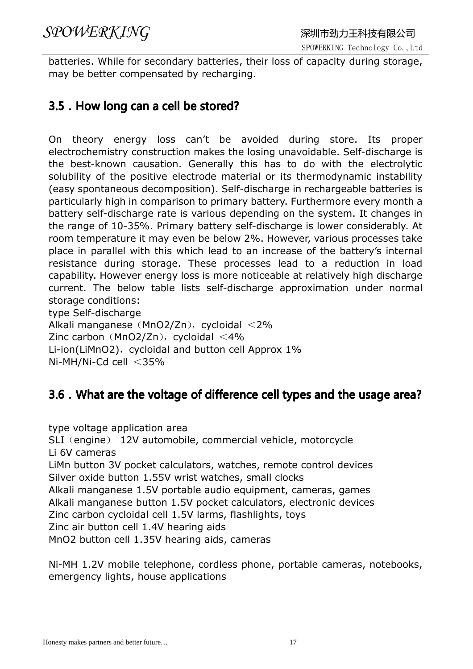batteries. While for secondary batteries, their loss of capacity during storage, may be better compensated by recharging.

#### 3.5. How long can a cell be stored?

On theory energy loss can't be avoided during store. Its proper electrochemistry construction makes the losing unavoidable. Self-discharge is the best-known causation. Generally this has to do with the electrolytic solubility of the positive electrode material or its thermodynamic instability (easy spontaneous decomposition). Self-discharge in rechargeable batteries is particularly high in comparison to primary battery. Furthermore every month a battery self-discharge rate is various depending on the system. It changes in the range of 10-35%. Primary battery self-discharge is lower considerably. At room temperature it may even be below 2%. However, various processes take place in parallel with this which lead to an increase of the battery's internal resistance during storage. These processes lead to a reduction in load capability. However energy loss is more noticeable at relatively high discharge current. The below table lists self-discharge approximation under normal storage conditions: type Self-discharge

Alkali manganese (MnO2/Zn), cycloidal  $<$ 2% Zinc carbon (MnO2/Zn), cycloidal  $\leq 4\%$ Li-ion(LiMnO2), cycloidal and button cell Approx  $1\%$ Ni-MH/Ni-Cd cell <35%

#### 3.6.What are the voltage of difference cell types and the usage area?

type voltage application area SLI (engine) 12V automobile, commercial vehicle, motorcycle Li 6V cameras LiMn button 3V pocket calculators, watches, remote control devices Silver oxide button 1.55V wrist watches, small clocks Alkali manganese 1.5V portable audio equipment, cameras, games Alkali manganese button 1.5V pocket calculators, electronic devices Zinc carbon cycloidal cell 1.5V larms, flashlights, toys Zinc air button cell 1.4V hearing aids MnO2 button cell 1.35V hearing aids, cameras

Ni-MH 1.2V mobile telephone, cordless phone, portable cameras, notebooks, emergency lights, house applications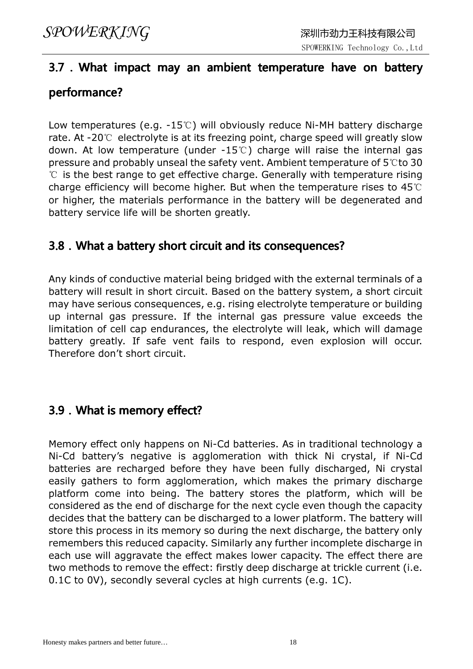### 3.7.What impact may an ambient temperature have on battery performance?

Low temperatures (e.g. -15℃) will obviously reduce Ni-MH battery discharge rate. At -20℃ electrolyte is at its freezing point, charge speed will greatly slow down. At low temperature (under -15℃) charge will raise the internal gas pressure and probably unseal the safety vent. Ambient temperature of 5℃to 30 ℃ is the best range to get effective charge. Generally with temperature rising charge efficiency will become higher. But when the temperature rises to 45℃ or higher, the materials performance in the battery will be degenerated and battery service life will be shorten greatly.

#### 3.8. What a battery short circuit and its consequences?

Any kinds of conductive material being bridged with the external terminals of a battery will result in short circuit. Based on the battery system, a short circuit may have serious consequences, e.g. rising electrolyte temperature or building up internal gas pressure. If the internal gas pressure value exceeds the limitation of cell cap endurances, the electrolyte will leak, which will damage battery greatly. If safe vent fails to respond, even explosion will occur. Therefore don't short circuit.

#### 3.9. What is memory effect?

Memory effect only happens on Ni-Cd batteries. As in traditional technology a Ni-Cd battery's negative is agglomeration with thick Ni crystal, if Ni-Cd batteries are recharged before they have been fully discharged, Ni crystal easily gathers to form agglomeration, which makes the primary discharge platform come into being. The battery stores the platform, which will be considered as the end of discharge for the next cycle even though the capacity decides that the battery can be discharged to a lower platform. The battery will store this process in its memory so during the next discharge, the battery only remembers this reduced capacity. Similarly any further incomplete discharge in each use will aggravate the effect makes lower capacity. The effect there are two methods to remove the effect: firstly deep discharge at trickle current (i.e. 0.1C to 0V), secondly several cycles at high currents (e.g. 1C).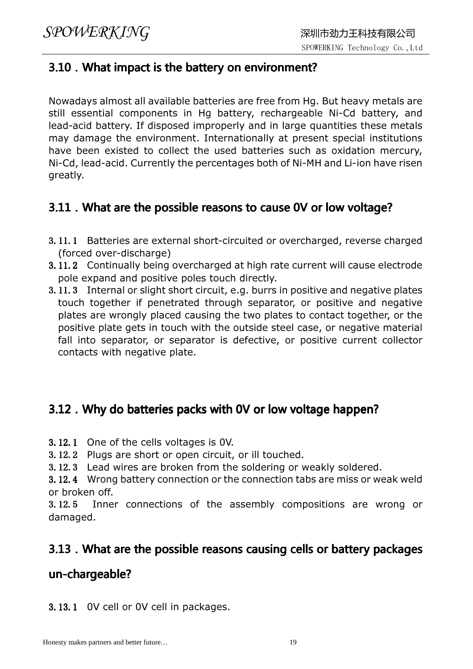#### 3.10. What impact is the battery on environment?

Nowadays almost all available batteries are free from Hg. But heavy metals are still essential components in Hg battery, rechargeable Ni-Cd battery, and lead-acid battery. If disposed improperly and in large quantities these metals may damage the environment. Internationally at present special institutions have been existed to collect the used batteries such as oxidation mercury, Ni-Cd, lead-acid. Currently the percentages both of Ni-MH and Li-ion have risen greatly.

#### 3.11. What are the possible reasons to cause 0V or low voltage?

- 3.11.1 Batteries are external short-circuited or overcharged, reverse charged (forced over-discharge)
- 3.11.2 Continually being overcharged at high rate current will cause electrode pole expand and positive poles touch directly.
- 3.11.3 Internal or slight short circuit, e.g. burrs in positive and negative plates touch together if penetrated through separator, or positive and negative plates are wrongly placed causing the two plates to contact together, or the positive plate gets in touch with the outside steel case, or negative material fall into separator, or separator is defective, or positive current collector contacts with negative plate.

#### 3.12. Why do batteries packs with 0V or low voltage happen?

- 3.12.1 One of the cells voltages is 0V.
- 3.12.2 Plugs are short or open circuit, or ill touched.
- 3.12.3 Lead wires are broken from the soldering or weakly soldered.

3.12.4 Wrong battery connection or the connection tabs are miss or weak weld or broken off.

3.12.5 Inner connections of the assembly compositions are wrong or damaged.

#### 3.13. What are the possible reasons causing cells or battery packages

#### un-chargeable?

3.13.1 0V cell or 0V cell in packages.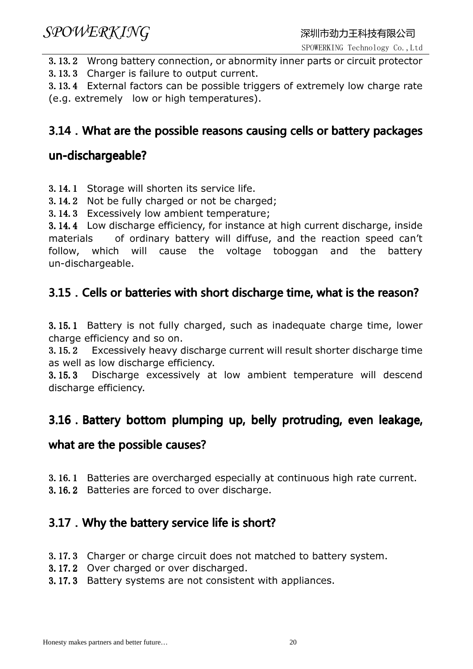SPOWERKING Technology Co.,Ltd

3.13.2 Wrong battery connection, or abnormity inner parts or circuit protector

3.13.3 Charger is failure to output current.

3.13.4 External factors can be possible triggers of extremely low charge rate (e.g. extremely low or high temperatures).

#### 3.14. What are the possible reasons causing cells or battery packages

#### un-dischargeable?

3.14.1 Storage will shorten its service life.

3.14.2 Not be fully charged or not be charged;

3.14.3 Excessively low ambient temperature;

3.14.4 Low discharge efficiency, for instance at high current discharge, inside materials of ordinary battery will diffuse, and the reaction speed can't follow, which will cause the voltage toboggan and the battery un-dischargeable.

#### 3.15. Cells or batteries with short discharge time, what is the reason?

3.15.1 Battery is not fully charged, such as inadequate charge time, lower charge efficiency and so on.

3.15.2 Excessively heavy discharge current will result shorter discharge time as well as low discharge efficiency.

3.15.3 Discharge excessively at low ambient temperature will descend discharge efficiency.

#### 3.16. Battery bottom plumping up, belly protruding, even leakage,

#### what are the possible causes?

- 3.16.1 Batteries are overcharged especially at continuous high rate current.
- 3.16.2 Batteries are forced to over discharge.

#### 3.17. Why the battery service life is short?

- 3.17.3 Charger or charge circuit does not matched to battery system.
- 3.17.2 Over charged or over discharged.
- 3.17.3 Battery systems are not consistent with appliances.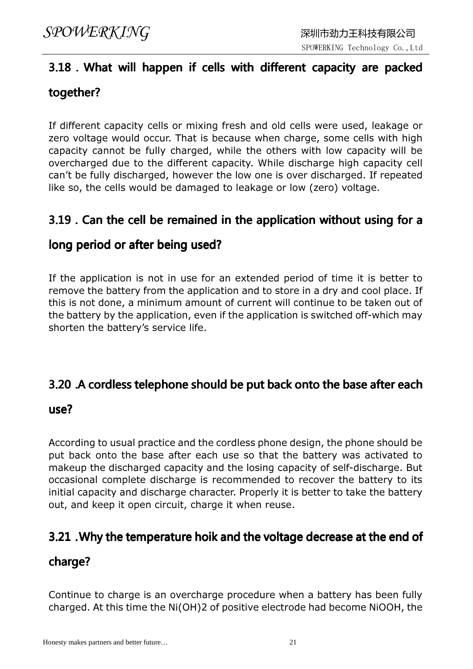### 3.18. What will happen if cells with different capacity are packed together?

If different capacity cells or mixing fresh and old cells were used, leakage or zero voltage would occur. That is because when charge, some cells with high capacity cannot be fully charged, while the others with low capacity will be overcharged due to the different capacity. While discharge high capacity cell can't be fully discharged, however the low one is over discharged. If repeated like so, the cells would be damaged to leakage or low (zero) voltage.

#### 3.19.Can the cell be remained in the application without using for a

#### long period or after being used?

If the application is not in use for an extended period of time it is better to remove the battery from the application and to store in a dry and cool place. If this is not done, a minimum amount of current will continue to be taken out of the battery by the application, even if the application is switched off-which may shorten the battery's service life.

#### 3.20 .A cordless telephone should be put back onto the base after each

#### use?

According to usual practice and the cordless phone design, the phone should be put back onto the base after each use so that the battery was activated to makeup the discharged capacity and the losing capacity of self-discharge. But occasional complete discharge is recommended to recover the battery to its initial capacity and discharge character. Properly it is better to take the battery out, and keep it open circuit, charge it when reuse.

#### 3.21.Why the temperature hoik and the voltage decrease at the end of

#### charge?

Continue to charge is an overcharge procedure when a battery has been fully charged. At this time the Ni(OH)2 of positive electrode had become NiOOH, the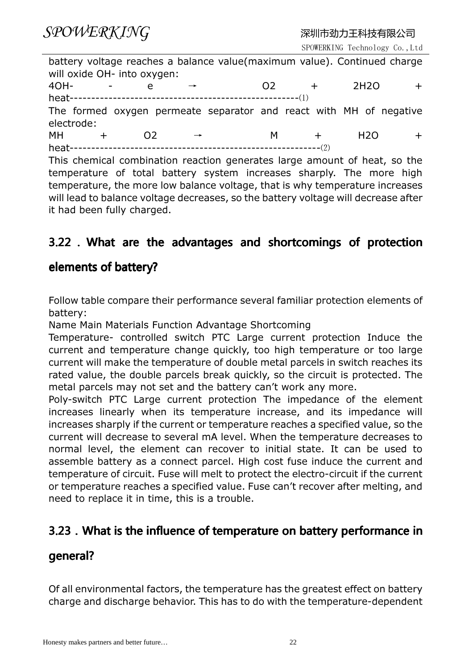SPOWERKING Technology Co.,Ltd

|                                                                          |         | will oxide OH- into oxygen: |  | battery voltage reaches a balance value (maximum value). Continued charge |     |                   |  |
|--------------------------------------------------------------------------|---------|-----------------------------|--|---------------------------------------------------------------------------|-----|-------------------|--|
|                                                                          | $4OH -$ | e                           |  | O <sub>2</sub>                                                            | $+$ | 2H <sub>2</sub> O |  |
|                                                                          |         |                             |  |                                                                           |     |                   |  |
| electrode:                                                               |         |                             |  | The formed oxygen permeate separator and react with MH of negative        |     |                   |  |
| MH                                                                       |         | O <sub>2</sub>              |  | M.                                                                        | $+$ | H <sub>2</sub> O  |  |
|                                                                          |         |                             |  |                                                                           |     |                   |  |
| This chamical combination reaction generates large amount of heat so the |         |                             |  |                                                                           |     |                   |  |

This chemical combination reaction generates large amount of heat, so the temperature of total battery system increases sharply. The more high temperature, the more low balance voltage, that is why temperature increases will lead to balance voltage decreases, so the battery voltage will decrease after it had been fully charged.

#### 3.22 . What are the advantages and shortcomings of protection

#### elements of battery?

Follow table compare their performance several familiar protection elements of battery:

Name Main Materials Function Advantage Shortcoming

Temperature- controlled switch PTC Large current protection Induce the current and temperature change quickly, too high temperature or too large current will make the temperature of double metal parcels in switch reaches its rated value, the double parcels break quickly, so the circuit is protected. The metal parcels may not set and the battery can't work any more.

Poly-switch PTC Large current protection The impedance of the element increases linearly when its temperature increase, and its impedance will increases sharply if the current or temperature reaches a specified value, so the current will decrease to several mA level. When the temperature decreases to normal level, the element can recover to initial state. It can be used to assemble battery as a connect parcel. High cost fuse induce the current and temperature of circuit. Fuse will melt to protect the electro-circuit if the current or temperature reaches a specified value. Fuse can't recover after melting, and need to replace it in time, this is a trouble.

#### 3.23.What is the influence of temperature on battery performance in

#### general?

Of all environmental factors, the temperature has the greatest effect on battery charge and discharge behavior. This has to do with the temperature-dependent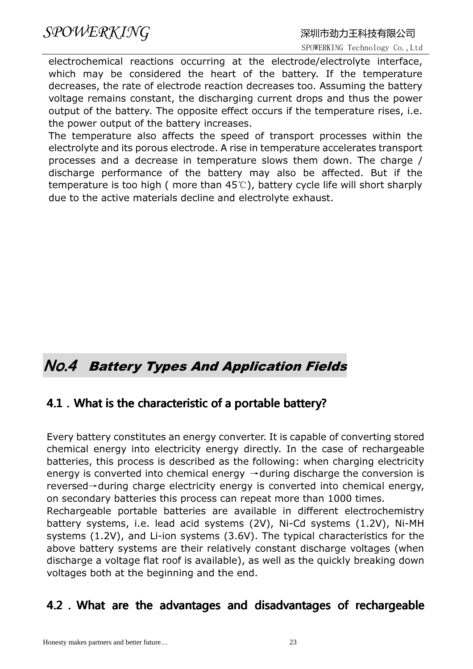electrochemical reactions occurring at the electrode/electrolyte interface, which may be considered the heart of the battery. If the temperature decreases, the rate of electrode reaction decreases too. Assuming the battery voltage remains constant, the discharging current drops and thus the power output of the battery. The opposite effect occurs if the temperature rises, i.e. the power output of the battery increases.

The temperature also affects the speed of transport processes within the electrolyte and its porous electrode. A rise in temperature accelerates transport processes and a decrease in temperature slows them down. The charge / discharge performance of the battery may also be affected. But if the temperature is too high ( more than 45℃), battery cycle life will short sharply due to the active materials decline and electrolyte exhaust.

### No.4 Battery Types And Application Fields

#### 4.1. What is the characteristic of a portable battery?

Every battery constitutes an energy converter. It is capable of converting stored chemical energy into electricity energy directly. In the case of rechargeable batteries, this process is described as the following: when charging electricity energy is converted into chemical energy  $\rightarrow$  during discharge the conversion is reversed→during charge electricity energy is converted into chemical energy, on secondary batteries this process can repeat more than 1000 times.

Rechargeable portable batteries are available in different electrochemistry battery systems, i.e. lead acid systems (2V), Ni-Cd systems (1.2V), Ni-MH systems (1.2V), and Li-ion systems (3.6V). The typical characteristics for the above battery systems are their relatively constant discharge voltages (when discharge a voltage flat roof is available), as well as the quickly breaking down voltages both at the beginning and the end.

#### 4.2.What are the advantages and disadvantages of rechargeable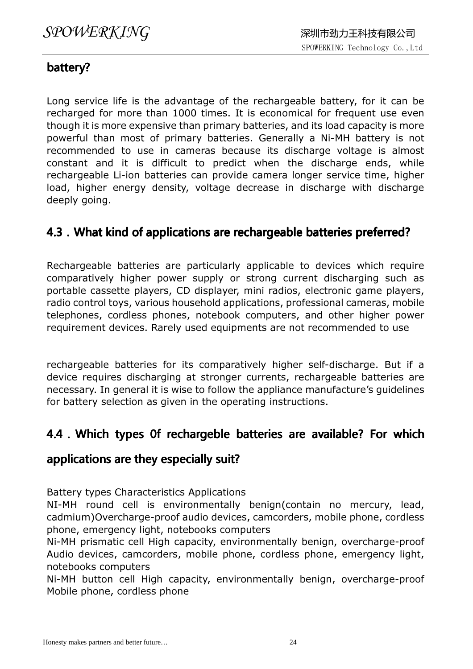#### battery?

Long service life is the advantage of the rechargeable battery, for it can be recharged for more than 1000 times. It is economical for frequent use even though it is more expensive than primary batteries, and its load capacity is more powerful than most of primary batteries. Generally a Ni-MH battery is not recommended to use in cameras because its discharge voltage is almost constant and it is difficult to predict when the discharge ends, while rechargeable Li-ion batteries can provide camera longer service time, higher load, higher energy density, voltage decrease in discharge with discharge deeply going.

#### 4.3. What kind of applications are rechargeable batteries preferred?

Rechargeable batteries are particularly applicable to devices which require comparatively higher power supply or strong current discharging such as portable cassette players, CD displayer, mini radios, electronic game players, radio control toys, various household applications, professional cameras, mobile telephones, cordless phones, notebook computers, and other higher power requirement devices. Rarely used equipments are not recommended to use

rechargeable batteries for its comparatively higher self-discharge. But if a device requires discharging at stronger currents, rechargeable batteries are necessary. In general it is wise to follow the appliance manufacture's guidelines for battery selection as given in the operating instructions.

#### 4.4. Which types 0f rechargeble batteries are available? For which

#### applications are they especially suit?

Battery types Characteristics Applications

NI-MH round cell is environmentally benign(contain no mercury, lead, cadmium)Overcharge-proof audio devices, camcorders, mobile phone, cordless phone, emergency light, notebooks computers

Ni-MH prismatic cell High capacity, environmentally benign, overcharge-proof Audio devices, camcorders, mobile phone, cordless phone, emergency light, notebooks computers

Ni-MH button cell High capacity, environmentally benign, overcharge-proof Mobile phone, cordless phone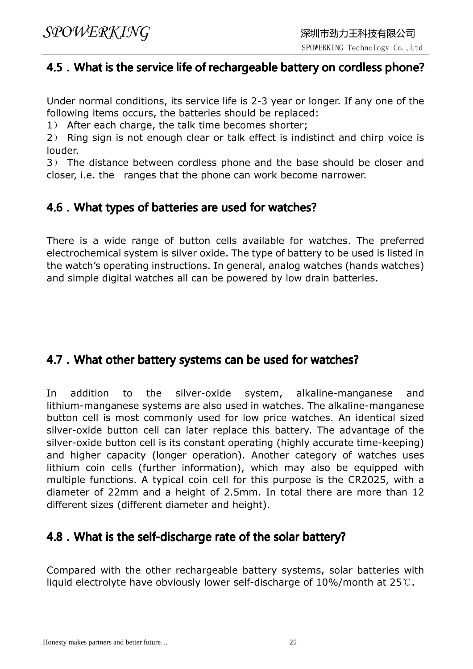#### 4.5.What is the service life of rechargeable battery on cordless phone?

Under normal conditions, its service life is 2-3 year or longer. If any one of the following items occurs, the batteries should be replaced:

1) After each charge, the talk time becomes shorter;

2) Ring sign is not enough clear or talk effect is indistinct and chirp voice is louder.

3) The distance between cordless phone and the base should be closer and closer, i.e. the ranges that the phone can work become narrower.

#### 4.6. What types of batteries are used for watches?

There is a wide range of button cells available for watches. The preferred electrochemical system is silver oxide. The type of battery to be used is listed in the watch's operating instructions. In general, analog watches (hands watches) and simple digital watches all can be powered by low drain batteries.

#### 4.7. What other battery systems can be used for watches?

In addition to the silver-oxide system, alkaline-manganese and lithium-manganese systems are also used in watches. The alkaline-manganese button cell is most commonly used for low price watches. An identical sized silver-oxide button cell can later replace this battery. The advantage of the silver-oxide button cell is its constant operating (highly accurate time-keeping) and higher capacity (longer operation). Another category of watches uses lithium coin cells (further information), which may also be equipped with multiple functions. A typical coin cell for this purpose is the CR2025, with a diameter of 22mm and a height of 2.5mm. In total there are more than 12 different sizes (different diameter and height).

#### 4.8. What is the self-discharge rate of the solar battery?

Compared with the other rechargeable battery systems, solar batteries with liquid electrolyte have obviously lower self-discharge of 10%/month at 25℃.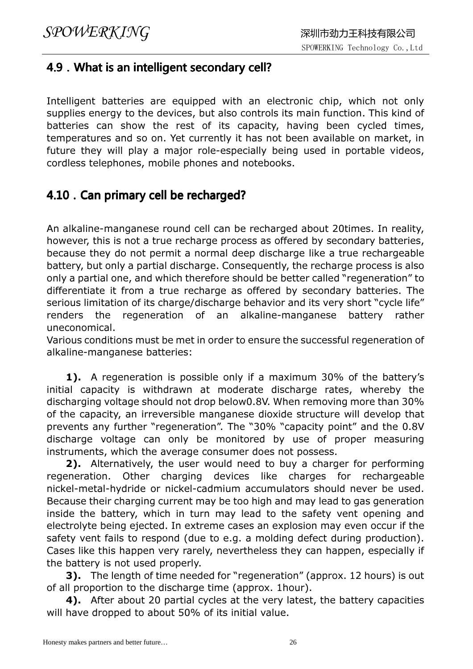#### 4.9. What is an intelligent secondary cell?

Intelligent batteries are equipped with an electronic chip, which not only supplies energy to the devices, but also controls its main function. This kind of batteries can show the rest of its capacity, having been cycled times, temperatures and so on. Yet currently it has not been available on market, in future they will play a major role-especially being used in portable videos, cordless telephones, mobile phones and notebooks.

#### 4.10 . Can primary cell be recharged?

An alkaline-manganese round cell can be recharged about 20times. In reality, however, this is not a true recharge process as offered by secondary batteries, because they do not permit a normal deep discharge like a true rechargeable battery, but only a partial discharge. Consequently, the recharge process is also only a partial one, and which therefore should be better called "regeneration" to differentiate it from a true recharge as offered by secondary batteries. The serious limitation of its charge/discharge behavior and its very short "cycle life" renders the regeneration of an alkaline-manganese battery rather uneconomical.

Various conditions must be met in order to ensure the successful regeneration of alkaline-manganese batteries:

**1).** A regeneration is possible only if a maximum 30% of the battery's initial capacity is withdrawn at moderate discharge rates, whereby the discharging voltage should not drop below0.8V. When removing more than 30% of the capacity, an irreversible manganese dioxide structure will develop that prevents any further "regeneration". The "30% "capacity point" and the 0.8V discharge voltage can only be monitored by use of proper measuring instruments, which the average consumer does not possess.

2). Alternatively, the user would need to buy a charger for performing regeneration. Other charging devices like charges for rechargeable nickel-metal-hydride or nickel-cadmium accumulators should never be used. Because their charging current may be too high and may lead to gas generation inside the battery, which in turn may lead to the safety vent opening and electrolyte being ejected. In extreme cases an explosion may even occur if the safety vent fails to respond (due to e.g. a molding defect during production). Cases like this happen very rarely, nevertheless they can happen, especially if the battery is not used properly.

**3).** The length of time needed for "regeneration" (approx. 12 hours) is out of all proportion to the discharge time (approx. 1hour).

4). After about 20 partial cycles at the very latest, the battery capacities will have dropped to about 50% of its initial value.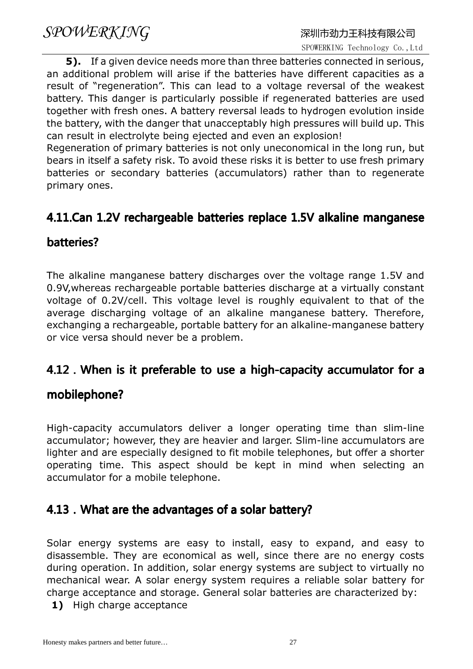**5).** If a given device needs more than three batteries connected in serious, an additional problem will arise if the batteries have different capacities as a result of "regeneration". This can lead to a voltage reversal of the weakest battery. This danger is particularly possible if regenerated batteries are used together with fresh ones. A battery reversal leads to hydrogen evolution inside the battery, with the danger that unacceptably high pressures will build up. This can result in electrolyte being ejected and even an explosion!

Regeneration of primary batteries is not only uneconomical in the long run, but bears in itself a safety risk. To avoid these risks it is better to use fresh primary batteries or secondary batteries (accumulators) rather than to regenerate primary ones.

#### 4.11.Can 1.2V rechargeable batteries replace 1.5V alkaline manganese

#### batteries?

The alkaline manganese battery discharges over the voltage range 1.5V and 0.9V,whereas rechargeable portable batteries discharge at a virtually constant voltage of 0.2V/cell. This voltage level is roughly equivalent to that of the average discharging voltage of an alkaline manganese battery. Therefore, exchanging a rechargeable, portable battery for an alkaline-manganese battery or vice versa should never be a problem.

#### 4.12. When is it preferable to use a high-capacity accumulator for a

#### mobilephone?

High-capacity accumulators deliver a longer operating time than slim-line accumulator; however, they are heavier and larger. Slim-line accumulators are lighter and are especially designed to fit mobile telephones, but offer a shorter operating time. This aspect should be kept in mind when selecting an accumulator for a mobile telephone.

#### 4.13. What are the advantages of a solar battery?

Solar energy systems are easy to install, easy to expand, and easy to disassemble. They are economical as well, since there are no energy costs during operation. In addition, solar energy systems are subject to virtually no mechanical wear. A solar energy system requires a reliable solar battery for charge acceptance and storage. General solar batteries are characterized by:

1) High charge acceptance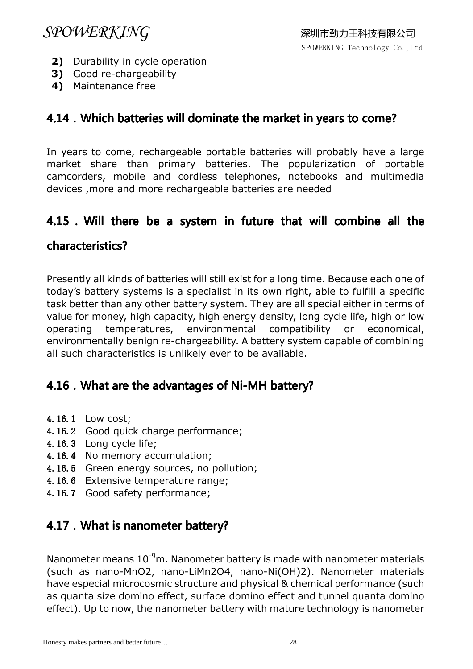- 2) Durability in cycle operation
- 3) Good re-chargeability
- 4) Maintenance free

#### 4.14. Which batteries will dominate the market in years to come?

In years to come, rechargeable portable batteries will probably have a large market share than primary batteries. The popularization of portable camcorders, mobile and cordless telephones, notebooks and multimedia devices ,more and more rechargeable batteries are needed

#### 4.15.Will there be a system in future that will combine all the

#### characteristics?

Presently all kinds of batteries will still exist for a long time. Because each one of today's battery systems is a specialist in its own right, able to fulfill a specific task better than any other battery system. They are all special either in terms of value for money, high capacity, high energy density, long cycle life, high or low operating temperatures, environmental compatibility or economical, environmentally benign re-chargeability. A battery system capable of combining all such characteristics is unlikely ever to be available.

#### 4.16. What are the advantages of Ni-MH battery?

- 4.16.1 Low cost;
- 4.16.2 Good quick charge performance;
- 4.16.3 Long cycle life;
- 4.16.4 No memory accumulation;
- 4.16.5 Green energy sources, no pollution;
- 4.16.6 Extensive temperature range;
- 4.16.7 Good safety performance;

#### 4.17. What is nanometer battery?

Nanometer means  $10^{-9}$ m. Nanometer battery is made with nanometer materials (such as nano-MnO2, nano-LiMn2O4, nano-Ni(OH)2). Nanometer materials have especial microcosmic structure and physical & chemical performance (such as quanta size domino effect, surface domino effect and tunnel quanta domino effect). Up to now, the nanometer battery with mature technology is nanometer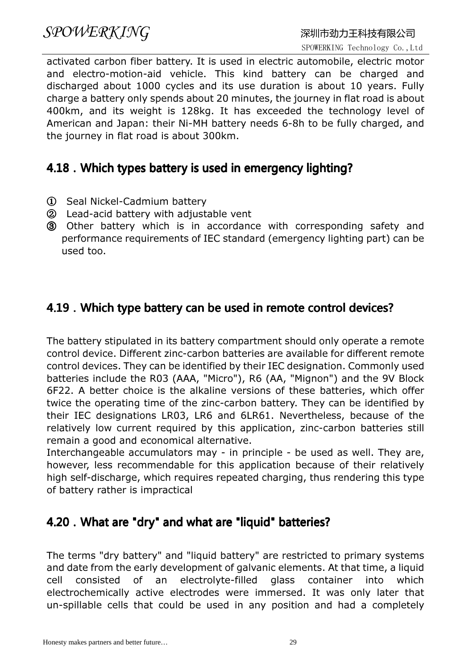### $SPOWERKING$  and the control of the control of the control  $R$  with  $R$   $R$   $R$   $S$   $P$   $O$   $W$   $R$   $R$   $S$   $G$   $G$   $R$   $R$   $S$   $T$   $R$   $R$   $S$   $T$   $R$   $R$   $S$   $T$   $R$   $R$   $S$   $T$   $R$   $R$   $S$   $T$   $R$   $T$   $S$   $T$   $S$   $T$   $R$

activated carbon fiber battery. It is used in electric automobile, electric motor and electro-motion-aid vehicle. This kind battery can be charged and discharged about 1000 cycles and its use duration is about 10 years. Fully charge a battery only spends about 20 minutes, the journey in flat road is about 400km, and its weight is 128kg. It has exceeded the technology level of American and Japan: their Ni-MH battery needs 6-8h to be fully charged, and the journey in flat road is about 300km.

#### 4.18. Which types battery is used in emergency lighting?

- ① Seal Nickel-Cadmium battery
- ② Lead-acid battery with adjustable vent
- ③ Other battery which is in accordance with corresponding safety and performance requirements of IEC standard (emergency lighting part) can be used too.

#### 4.19. Which type battery can be used in remote control devices?

The battery stipulated in its battery compartment should only operate a remote control device. Different zinc-carbon batteries are available for different remote control devices. They can be identified by their IEC designation. Commonly used batteries include the R03 (AAA, "Micro"), R6 (AA, "Mignon") and the 9V Block 6F22. A better choice is the alkaline versions of these batteries, which offer twice the operating time of the zinc-carbon battery. They can be identified by their IEC designations LR03, LR6 and 6LR61. Nevertheless, because of the relatively low current required by this application, zinc-carbon batteries still remain a good and economical alternative.

Interchangeable accumulators may - in principle - be used as well. They are, however, less recommendable for this application because of their relatively high self-discharge, which requires repeated charging, thus rendering this type of battery rather is impractical

#### 4.20. What are "dry" and what are "liquid" batteries?

The terms "dry battery" and "liquid battery" are restricted to primary systems and date from the early development of galvanic elements. At that time, a liquid cell consisted of an electrolyte-filled glass container into which electrochemically active electrodes were immersed. It was only later that un-spillable cells that could be used in any position and had a completely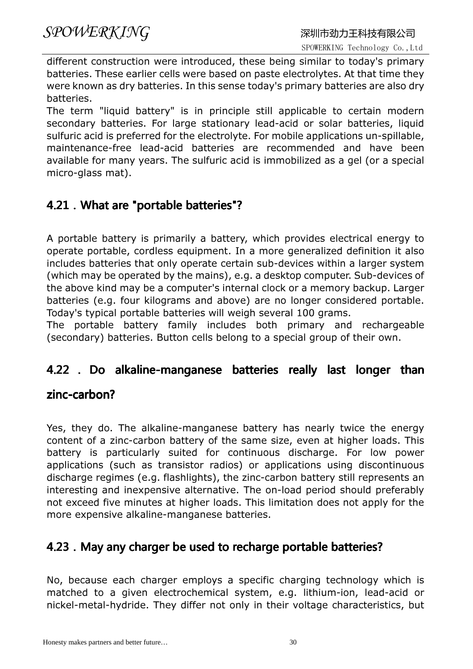different construction were introduced, these being similar to today's primary batteries. These earlier cells were based on paste electrolytes. At that time they were known as dry batteries. In this sense today's primary batteries are also dry batteries.

The term "liquid battery" is in principle still applicable to certain modern secondary batteries. For large stationary lead-acid or solar batteries, liquid sulfuric acid is preferred for the electrolyte. For mobile applications un-spillable, maintenance-free lead-acid batteries are recommended and have been available for many years. The sulfuric acid is immobilized as a gel (or a special micro-glass mat).

#### 4.21. What are "portable batteries"?

A portable battery is primarily a battery, which provides electrical energy to operate portable, cordless equipment. In a more generalized definition it also includes batteries that only operate certain sub-devices within a larger system (which may be operated by the mains), e.g. a desktop computer. Sub-devices of the above kind may be a computer's internal clock or a memory backup. Larger batteries (e.g. four kilograms and above) are no longer considered portable. Today's typical portable batteries will weigh several 100 grams.

The portable battery family includes both primary and rechargeable (secondary) batteries. Button cells belong to a special group of their own.

#### 4.22 . Do alkaline-manganese batteries really last longer than

#### zinc-carbon?

Yes, they do. The alkaline-manganese battery has nearly twice the energy content of a zinc-carbon battery of the same size, even at higher loads. This battery is particularly suited for continuous discharge. For low power applications (such as transistor radios) or applications using discontinuous discharge regimes (e.g. flashlights), the zinc-carbon battery still represents an interesting and inexpensive alternative. The on-load period should preferably not exceed five minutes at higher loads. This limitation does not apply for the more expensive alkaline-manganese batteries.

#### 4.23. May any charger be used to recharge portable batteries?

No, because each charger employs a specific charging technology which is matched to a given electrochemical system, e.g. lithium-ion, lead-acid or nickel-metal-hydride. They differ not only in their voltage characteristics, but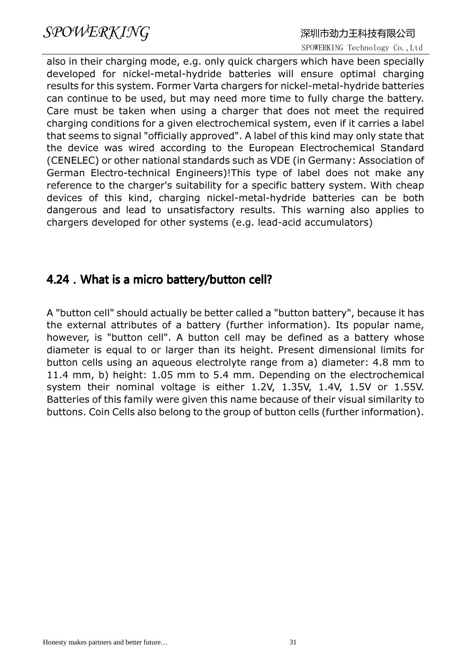also in their charging mode, e.g. only quick chargers which have been specially developed for nickel-metal-hydride batteries will ensure optimal charging results for this system. Former Varta chargers for nickel-metal-hydride batteries can continue to be used, but may need more time to fully charge the battery. Care must be taken when using a charger that does not meet the required charging conditions for a given electrochemical system, even if it carries a label that seems to signal "officially approved". A label of this kind may only state that the device was wired according to the European Electrochemical Standard (CENELEC) or other national standards such as VDE (in Germany: Association of German Electro-technical Engineers)!This type of label does not make any reference to the charger's suitability for a specific battery system. With cheap devices of this kind, charging nickel-metal-hydride batteries can be both dangerous and lead to unsatisfactory results. This warning also applies to chargers developed for other systems (e.g. lead-acid accumulators)

#### 4.24. What is a micro battery/button cell?

A "button cell" should actually be better called a "button battery", because it has the external attributes of a battery (further information). Its popular name, however, is "button cell". A button cell may be defined as a battery whose diameter is equal to or larger than its height. Present dimensional limits for button cells using an aqueous electrolyte range from a) diameter: 4.8 mm to 11.4 mm, b) height: 1.05 mm to 5.4 mm. Depending on the electrochemical system their nominal voltage is either 1.2V, 1.35V, 1.4V, 1.5V or 1.55V. Batteries of this family were given this name because of their visual similarity to buttons. Coin Cells also belong to the group of button cells (further information).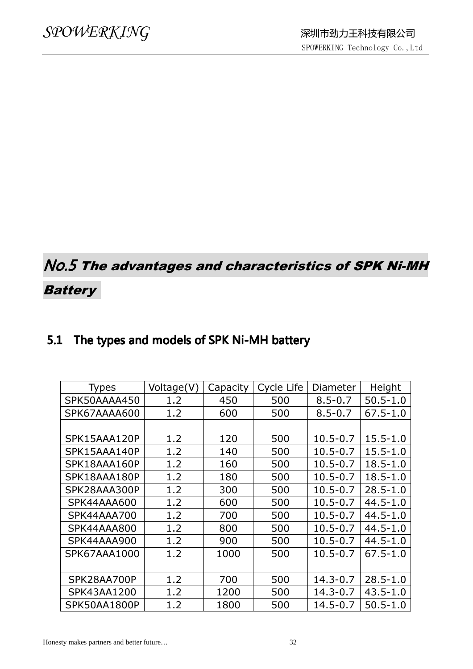### No.5 The advantages and characteristics of SPK Ni-MH

#### **Battery**

#### 5.1 The types and models of SPK Ni-MH battery

| Voltage(V) | Capacity | Cycle Life | Diameter     | Height       |
|------------|----------|------------|--------------|--------------|
| 1.2        | 450      | 500        | $8.5 - 0.7$  | $50.5 - 1.0$ |
| 1.2        | 600      | 500        | $8.5 - 0.7$  | $67.5 - 1.0$ |
|            |          |            |              |              |
| 1.2        | 120      | 500        | $10.5 - 0.7$ | $15.5 - 1.0$ |
| 1.2        | 140      | 500        | $10.5 - 0.7$ | $15.5 - 1.0$ |
| 1.2        | 160      | 500        | $10.5 - 0.7$ | $18.5 - 1.0$ |
| 1.2        | 180      | 500        | $10.5 - 0.7$ | $18.5 - 1.0$ |
| 1.2        | 300      | 500        | $10.5 - 0.7$ | $28.5 - 1.0$ |
| 1.2        | 600      | 500        | $10.5 - 0.7$ | $44.5 - 1.0$ |
| 1.2        | 700      | 500        | $10.5 - 0.7$ | $44.5 - 1.0$ |
| 1.2        | 800      | 500        | $10.5 - 0.7$ | $44.5 - 1.0$ |
| 1.2        | 900      | 500        | $10.5 - 0.7$ | $44.5 - 1.0$ |
| 1.2        | 1000     | 500        | $10.5 - 0.7$ | $67.5 - 1.0$ |
|            |          |            |              |              |
| 1.2        | 700      | 500        | $14.3 - 0.7$ | $28.5 - 1.0$ |
| 1.2        | 1200     | 500        | $14.3 - 0.7$ | $43.5 - 1.0$ |
| 1.2        | 1800     | 500        | 14.5-0.7     | $50.5 - 1.0$ |
|            |          |            |              |              |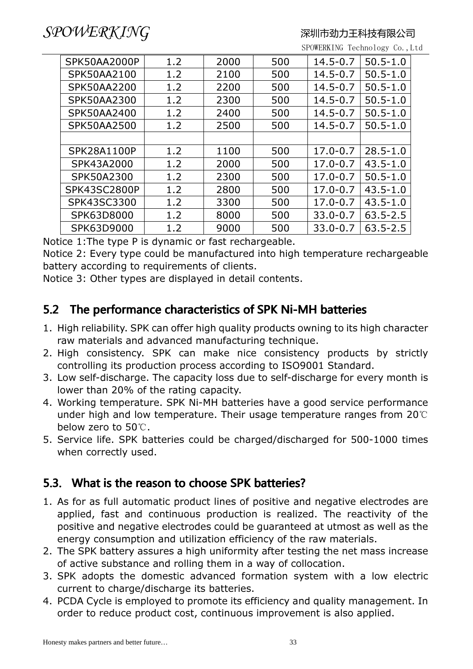SPOWERKING Technology Co.,Ltd

| <b>SPK50AA2000P</b> | 1.2 | 2000 | 500 | $14.5 - 0.7$ | $50.5 - 1.0$ |
|---------------------|-----|------|-----|--------------|--------------|
| SPK50AA2100         | 1.2 | 2100 | 500 | $14.5 - 0.7$ | $50.5 - 1.0$ |
| <b>SPK50AA2200</b>  | 1.2 | 2200 | 500 | $14.5 - 0.7$ | $50.5 - 1.0$ |
| SPK50AA2300         | 1.2 | 2300 | 500 | $14.5 - 0.7$ | $50.5 - 1.0$ |
| SPK50AA2400         | 1.2 | 2400 | 500 | $14.5 - 0.7$ | $50.5 - 1.0$ |
| <b>SPK50AA2500</b>  | 1.2 | 2500 | 500 | $14.5 - 0.7$ | $50.5 - 1.0$ |
|                     |     |      |     |              |              |
| SPK28A1100P         | 1.2 | 1100 | 500 | $17.0 - 0.7$ | $28.5 - 1.0$ |
| SPK43A2000          | 1.2 | 2000 | 500 | $17.0 - 0.7$ | $43.5 - 1.0$ |
| SPK50A2300          | 1.2 | 2300 | 500 | $17.0 - 0.7$ | $50.5 - 1.0$ |
| <b>SPK43SC2800P</b> | 1.2 | 2800 | 500 | $17.0 - 0.7$ | $43.5 - 1.0$ |
| SPK43SC3300         | 1.2 | 3300 | 500 | $17.0 - 0.7$ | $43.5 - 1.0$ |
| SPK63D8000          | 1.2 | 8000 | 500 | $33.0 - 0.7$ | $63.5 - 2.5$ |
| SPK63D9000          | 1.2 | 9000 | 500 | $33.0 - 0.7$ | $63.5 - 2.5$ |

Notice 1:The type P is dynamic or fast rechargeable.

Notice 2: Every type could be manufactured into high temperature rechargeable battery according to requirements of clients.

Notice 3: Other types are displayed in detail contents.

#### 5.2 The performance characteristics of SPK Ni-MH batteries

- 1. High reliability. SPK can offer high quality products owning to its high character raw materials and advanced manufacturing technique.
- 2. High consistency. SPK can make nice consistency products by strictly controlling its production process according to ISO9001 Standard.
- 3. Low self-discharge. The capacity loss due to self-discharge for every month is lower than 20% of the rating capacity.
- 4. Working temperature. SPK Ni-MH batteries have a good service performance under high and low temperature. Their usage temperature ranges from 20℃ below zero to 50℃.
- 5. Service life. SPK batteries could be charged/discharged for 500-1000 times when correctly used.

#### 5.3. What is the reason to choose SPK batteries?

- 1. As for as full automatic product lines of positive and negative electrodes are applied, fast and continuous production is realized. The reactivity of the positive and negative electrodes could be guaranteed at utmost as well as the energy consumption and utilization efficiency of the raw materials.
- 2. The SPK battery assures a high uniformity after testing the net mass increase of active substance and rolling them in a way of collocation.
- 3. SPK adopts the domestic advanced formation system with a low electric current to charge/discharge its batteries.
- 4. PCDA Cycle is employed to promote its efficiency and quality management. In order to reduce product cost, continuous improvement is also applied.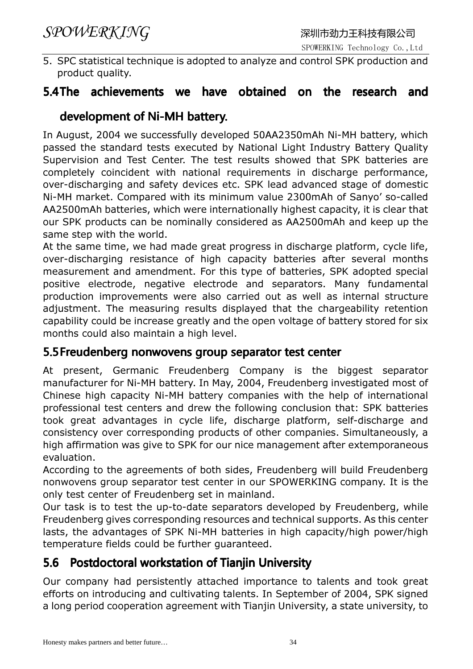5. SPC statistical technique is adopted to analyze and control SPK production and product quality.

#### 5.4The achievements we have obtained on the research and

#### development of Ni-MH battery.

In August, 2004 we successfully developed 50AA2350mAh Ni-MH battery, which passed the standard tests executed by National Light Industry Battery Quality Supervision and Test Center. The test results showed that SPK batteries are completely coincident with national requirements in discharge performance, over-discharging and safety devices etc. SPK lead advanced stage of domestic Ni-MH market. Compared with its minimum value 2300mAh of Sanyo' so-called AA2500mAh batteries, which were internationally highest capacity, it is clear that our SPK products can be nominally considered as AA2500mAh and keep up the same step with the world.

At the same time, we had made great progress in discharge platform, cycle life, over-discharging resistance of high capacity batteries after several months measurement and amendment. For this type of batteries, SPK adopted special positive electrode, negative electrode and separators. Many fundamental production improvements were also carried out as well as internal structure adjustment. The measuring results displayed that the chargeability retention capability could be increase greatly and the open voltage of battery stored for six months could also maintain a high level.

#### 5.5 Freudenberg nonwovens group separator test center

At present, Germanic Freudenberg Company is the biggest separator manufacturer for Ni-MH battery. In May, 2004, Freudenberg investigated most of Chinese high capacity Ni-MH battery companies with the help of international professional test centers and drew the following conclusion that: SPK batteries took great advantages in cycle life, discharge platform, self-discharge and consistency over corresponding products of other companies. Simultaneously, a high affirmation was give to SPK for our nice management after extemporaneous evaluation.

According to the agreements of both sides, Freudenberg will build Freudenberg nonwovens group separator test center in our SPOWERKING company. It is the only test center of Freudenberg set in mainland.

Our task is to test the up-to-date separators developed by Freudenberg, while Freudenberg gives corresponding resources and technical supports. As this center lasts, the advantages of SPK Ni-MH batteries in high capacity/high power/high temperature fields could be further guaranteed.

#### 5.6 Postdoctoral workstation of Tianjin University

Our company had persistently attached importance to talents and took great efforts on introducing and cultivating talents. In September of 2004, SPK signed a long period cooperation agreement with Tianjin University, a state university, to